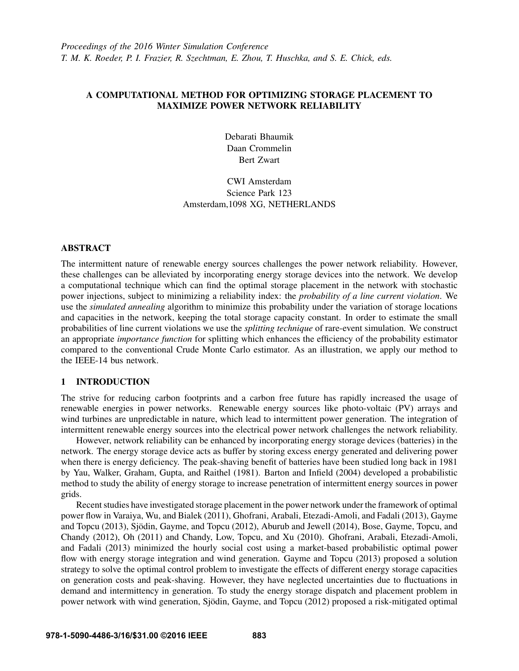# A COMPUTATIONAL METHOD FOR OPTIMIZING STORAGE PLACEMENT TO MAXIMIZE POWER NETWORK RELIABILITY

Debarati Bhaumik Daan Crommelin Bert Zwart

CWI Amsterdam Science Park 123 Amsterdam,1098 XG, NETHERLANDS

# ABSTRACT

The intermittent nature of renewable energy sources challenges the power network reliability. However, these challenges can be alleviated by incorporating energy storage devices into the network. We develop a computational technique which can find the optimal storage placement in the network with stochastic power injections, subject to minimizing a reliability index: the *probability of a line current violation*. We use the *simulated annealing* algorithm to minimize this probability under the variation of storage locations and capacities in the network, keeping the total storage capacity constant. In order to estimate the small probabilities of line current violations we use the *splitting technique* of rare-event simulation. We construct an appropriate *importance function* for splitting which enhances the efficiency of the probability estimator compared to the conventional Crude Monte Carlo estimator. As an illustration, we apply our method to the IEEE-14 bus network.

# 1 INTRODUCTION

The strive for reducing carbon footprints and a carbon free future has rapidly increased the usage of renewable energies in power networks. Renewable energy sources like photo-voltaic (PV) arrays and wind turbines are unpredictable in nature, which lead to intermittent power generation. The integration of intermittent renewable energy sources into the electrical power network challenges the network reliability.

However, network reliability can be enhanced by incorporating energy storage devices (batteries) in the network. The energy storage device acts as buffer by storing excess energy generated and delivering power when there is energy deficiency. The peak-shaving benefit of batteries have been studied long back in 1981 by Yau, Walker, Graham, Gupta, and Raithel (1981). Barton and Infield (2004) developed a probabilistic method to study the ability of energy storage to increase penetration of intermittent energy sources in power grids.

Recent studies have investigated storage placement in the power network under the framework of optimal power flow in Varaiya, Wu, and Bialek (2011), Ghofrani, Arabali, Etezadi-Amoli, and Fadali (2013), Gayme and Topcu (2013), Sjödin, Gayme, and Topcu (2012), Aburub and Jewell (2014), Bose, Gayme, Topcu, and Chandy (2012), Oh (2011) and Chandy, Low, Topcu, and Xu (2010). Ghofrani, Arabali, Etezadi-Amoli, and Fadali (2013) minimized the hourly social cost using a market-based probabilistic optimal power flow with energy storage integration and wind generation. Gayme and Topcu (2013) proposed a solution strategy to solve the optimal control problem to investigate the effects of different energy storage capacities on generation costs and peak-shaving. However, they have neglected uncertainties due to fluctuations in demand and intermittency in generation. To study the energy storage dispatch and placement problem in power network with wind generation, Sjödin, Gayme, and Topcu (2012) proposed a risk-mitigated optimal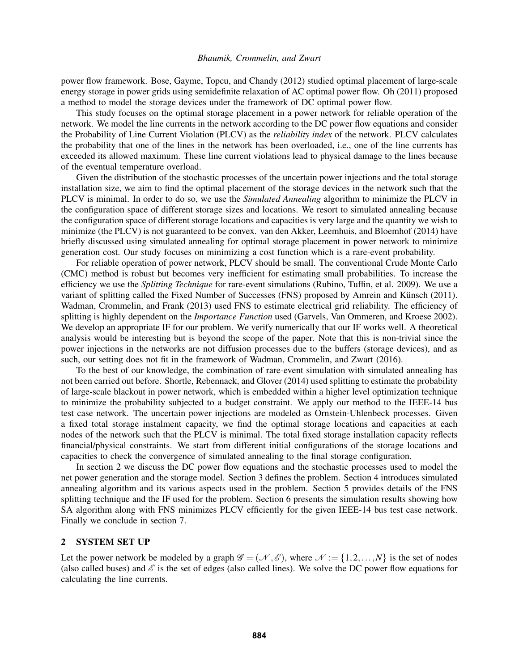power flow framework. Bose, Gayme, Topcu, and Chandy (2012) studied optimal placement of large-scale energy storage in power grids using semidefinite relaxation of AC optimal power flow. Oh (2011) proposed a method to model the storage devices under the framework of DC optimal power flow.

This study focuses on the optimal storage placement in a power network for reliable operation of the network. We model the line currents in the network according to the DC power flow equations and consider the Probability of Line Current Violation (PLCV) as the *reliability index* of the network. PLCV calculates the probability that one of the lines in the network has been overloaded, i.e., one of the line currents has exceeded its allowed maximum. These line current violations lead to physical damage to the lines because of the eventual temperature overload.

Given the distribution of the stochastic processes of the uncertain power injections and the total storage installation size, we aim to find the optimal placement of the storage devices in the network such that the PLCV is minimal. In order to do so, we use the *Simulated Annealing* algorithm to minimize the PLCV in the configuration space of different storage sizes and locations. We resort to simulated annealing because the configuration space of different storage locations and capacities is very large and the quantity we wish to minimize (the PLCV) is not guaranteed to be convex. van den Akker, Leemhuis, and Bloemhof (2014) have briefly discussed using simulated annealing for optimal storage placement in power network to minimize generation cost. Our study focuses on minimizing a cost function which is a rare-event probability.

For reliable operation of power network, PLCV should be small. The conventional Crude Monte Carlo (CMC) method is robust but becomes very inefficient for estimating small probabilities. To increase the efficiency we use the *Splitting Technique* for rare-event simulations (Rubino, Tuffin, et al. 2009). We use a variant of splitting called the Fixed Number of Successes (FNS) proposed by Amrein and Künsch (2011). Wadman, Crommelin, and Frank (2013) used FNS to estimate electrical grid reliability. The efficiency of splitting is highly dependent on the *Importance Function* used (Garvels, Van Ommeren, and Kroese 2002). We develop an appropriate IF for our problem. We verify numerically that our IF works well. A theoretical analysis would be interesting but is beyond the scope of the paper. Note that this is non-trivial since the power injections in the networks are not diffusion processes due to the buffers (storage devices), and as such, our setting does not fit in the framework of Wadman, Crommelin, and Zwart (2016).

To the best of our knowledge, the combination of rare-event simulation with simulated annealing has not been carried out before. Shortle, Rebennack, and Glover (2014) used splitting to estimate the probability of large-scale blackout in power network, which is embedded within a higher level optimization technique to minimize the probability subjected to a budget constraint. We apply our method to the IEEE-14 bus test case network. The uncertain power injections are modeled as Ornstein-Uhlenbeck processes. Given a fixed total storage instalment capacity, we find the optimal storage locations and capacities at each nodes of the network such that the PLCV is minimal. The total fixed storage installation capacity reflects financial/physical constraints. We start from different initial configurations of the storage locations and capacities to check the convergence of simulated annealing to the final storage configuration.

In section 2 we discuss the DC power flow equations and the stochastic processes used to model the net power generation and the storage model. Section 3 defines the problem. Section 4 introduces simulated annealing algorithm and its various aspects used in the problem. Section 5 provides details of the FNS splitting technique and the IF used for the problem. Section 6 presents the simulation results showing how SA algorithm along with FNS minimizes PLCV efficiently for the given IEEE-14 bus test case network. Finally we conclude in section 7.

## 2 SYSTEM SET UP

Let the power network be modeled by a graph  $\mathscr{G} = (\mathscr{N}, \mathscr{E})$ , where  $\mathscr{N} := \{1, 2, ..., N\}$  is the set of nodes (also called buses) and  $\mathscr E$  is the set of edges (also called lines). We solve the DC power flow equations for calculating the line currents.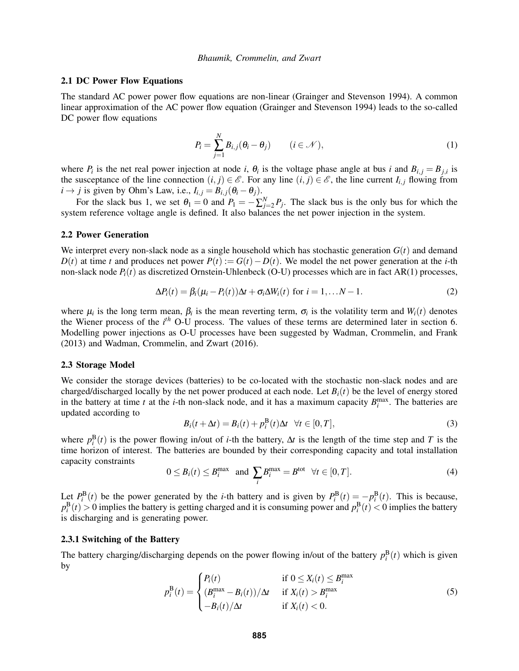### 2.1 DC Power Flow Equations

The standard AC power power flow equations are non-linear (Grainger and Stevenson 1994). A common linear approximation of the AC power flow equation (Grainger and Stevenson 1994) leads to the so-called DC power flow equations

$$
P_i = \sum_{j=1}^{N} B_{i,j} (\theta_i - \theta_j) \qquad (i \in \mathcal{N}), \qquad (1)
$$

where  $P_i$  is the net real power injection at node *i*,  $\theta_i$  is the voltage phase angle at bus *i* and  $B_{i,j} = B_{j,i}$  is the susceptance of the line connection  $(i, j) \in \mathcal{E}$ . For any line  $(i, j) \in \mathcal{E}$ , the line current  $I_{i,j}$  flowing from  $i \rightarrow j$  is given by Ohm's Law, i.e.,  $I_{i,j} = B_{i,j}(\theta_i - \theta_j)$ .

For the slack bus 1, we set  $\theta_1 = 0$  and  $P_1 = -\sum_{j=2}^{N} P_j$ . The slack bus is the only bus for which the system reference voltage angle is defined. It also balances the net power injection in the system.

#### 2.2 Power Generation

We interpret every non-slack node as a single household which has stochastic generation  $G(t)$  and demand *D*(*t*) at time *t* and produces net power  $P(t) := G(t) - D(t)$ . We model the net power generation at the *i*-th non-slack node *Pi*(*t*) as discretized Ornstein-Uhlenbeck (O-U) processes which are in fact AR(1) processes,

$$
\Delta P_i(t) = \beta_i(\mu_i - P_i(t))\Delta t + \sigma_i \Delta W_i(t) \text{ for } i = 1,...N-1.
$$
 (2)

where  $\mu_i$  is the long term mean,  $\beta_i$  is the mean reverting term,  $\sigma_i$  is the volatility term and  $W_i(t)$  denotes the Wiener process of the *i th* O-U process. The values of these terms are determined later in section 6. Modelling power injections as O-U processes have been suggested by Wadman, Crommelin, and Frank (2013) and Wadman, Crommelin, and Zwart (2016).

## 2.3 Storage Model

We consider the storage devices (batteries) to be co-located with the stochastic non-slack nodes and are charged/discharged locally by the net power produced at each node. Let  $B_i(t)$  be the level of energy stored in the battery at time *t* at the *i*-th non-slack node, and it has a maximum capacity  $B_i^{\text{max}}$ . The batteries are updated according to

$$
B_i(t + \Delta t) = B_i(t) + p_i^{\text{B}}(t)\Delta t \quad \forall t \in [0, T],
$$
\n(3)

where  $p_i^{\text{B}}(t)$  is the power flowing in/out of *i*-th the battery,  $\Delta t$  is the length of the time step and *T* is the time horizon of interest. The batteries are bounded by their corresponding capacity and total installation capacity constraints

$$
0 \leq B_i(t) \leq B_i^{\max} \quad \text{and} \quad \sum_i B_i^{\max} = B^{\text{tot}} \quad \forall t \in [0, T]. \tag{4}
$$

Let  $P_i^{\text{B}}(t)$  be the power generated by the *i*-th battery and is given by  $P_i^{\text{B}}(t) = -p_i^{\text{B}}(t)$ . This is because,  $p_i^{\text{B}}(t) > 0$  implies the battery is getting charged and it is consuming power and  $p_i^{\text{B}}(t) < 0$  implies the battery is discharging and is generating power.

#### 2.3.1 Switching of the Battery

The battery charging/discharging depends on the power flowing in/out of the battery  $p_i^{\text{B}}(t)$  which is given by

$$
p_i^{\mathbf{B}}(t) = \begin{cases} P_i(t) & \text{if } 0 \le X_i(t) \le B_i^{\max} \\ (B_i^{\max} - B_i(t))/\Delta t & \text{if } X_i(t) > B_i^{\max} \\ -B_i(t)/\Delta t & \text{if } X_i(t) < 0. \end{cases} \tag{5}
$$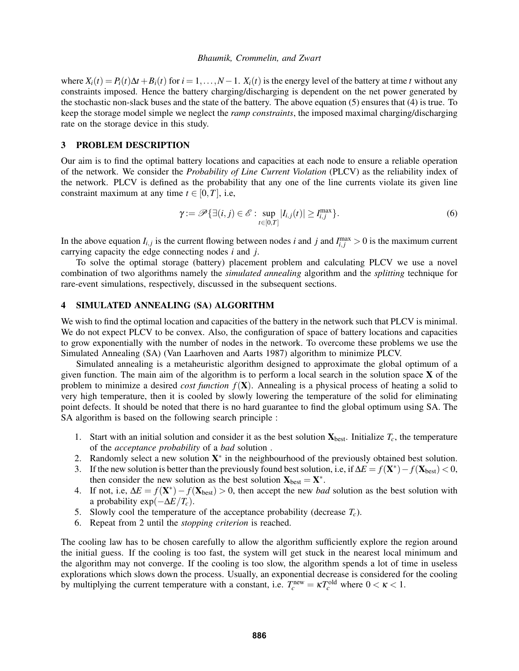where  $X_i(t) = P_i(t)\Delta t + B_i(t)$  for  $i = 1, \ldots, N-1$ .  $X_i(t)$  is the energy level of the battery at time *t* without any constraints imposed. Hence the battery charging/discharging is dependent on the net power generated by the stochastic non-slack buses and the state of the battery. The above equation (5) ensures that (4) is true. To keep the storage model simple we neglect the *ramp constraints*, the imposed maximal charging/discharging rate on the storage device in this study.

# 3 PROBLEM DESCRIPTION

Our aim is to find the optimal battery locations and capacities at each node to ensure a reliable operation of the network. We consider the *Probability of Line Current Violation* (PLCV) as the reliability index of the network. PLCV is defined as the probability that any one of the line currents violate its given line constraint maximum at any time  $t \in [0, T]$ , i.e,

$$
\gamma := \mathscr{P}\{\exists (i,j) \in \mathscr{E} : \sup_{t \in [0,T]} |I_{i,j}(t)| \ge I_{i,j}^{\max}\}.
$$
\n(6)

In the above equation  $I_{i,j}$  is the current flowing between nodes *i* and *j* and  $I_{i,j}^{\max} > 0$  is the maximum current carrying capacity the edge connecting nodes *i* and *j*.

To solve the optimal storage (battery) placement problem and calculating PLCV we use a novel combination of two algorithms namely the *simulated annealing* algorithm and the *splitting* technique for rare-event simulations, respectively, discussed in the subsequent sections.

#### 4 SIMULATED ANNEALING (SA) ALGORITHM

We wish to find the optimal location and capacities of the battery in the network such that PLCV is minimal. We do not expect PLCV to be convex. Also, the configuration of space of battery locations and capacities to grow exponentially with the number of nodes in the network. To overcome these problems we use the Simulated Annealing (SA) (Van Laarhoven and Aarts 1987) algorithm to minimize PLCV.

Simulated annealing is a metaheuristic algorithm designed to approximate the global optimum of a given function. The main aim of the algorithm is to perform a local search in the solution space  $X$  of the problem to minimize a desired *cost function f*(X). Annealing is a physical process of heating a solid to very high temperature, then it is cooled by slowly lowering the temperature of the solid for eliminating point defects. It should be noted that there is no hard guarantee to find the global optimum using SA. The SA algorithm is based on the following search principle :

- 1. Start with an initial solution and consider it as the best solution  $\mathbf{X}_{\text{best}}$ . Initialize  $T_c$ , the temperature of the *acceptance probability* of a *bad* solution .
- 2. Randomly select a new solution  $X^*$  in the neighbourhood of the previously obtained best solution.
- 3. If the new solution is better than the previously found best solution, i.e, if  $\Delta E = f(\mathbf{X}^*) f(\mathbf{X}_{best}) < 0$ , then consider the new solution as the best solution  $\mathbf{X}_{best} = \mathbf{X}^*$ .
- 4. If not, i.e,  $\Delta E = f(\mathbf{X}^*) f(\mathbf{X}_{best}) > 0$ , then accept the new *bad* solution as the best solution with a probability  $exp(-\Delta E/T_c)$ .
- 5. Slowly cool the temperature of the acceptance probability (decrease  $T_c$ ).
- 6. Repeat from 2 until the *stopping criterion* is reached.

The cooling law has to be chosen carefully to allow the algorithm sufficiently explore the region around the initial guess. If the cooling is too fast, the system will get stuck in the nearest local minimum and the algorithm may not converge. If the cooling is too slow, the algorithm spends a lot of time in useless explorations which slows down the process. Usually, an exponential decrease is considered for the cooling by multiplying the current temperature with a constant, i.e.  $T_c^{\text{new}} = \kappa T_c^{\text{old}}$  where  $0 < \kappa < 1$ .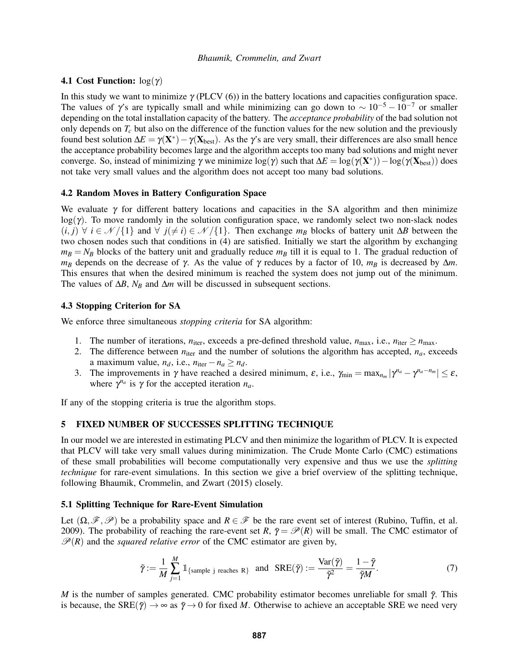# 4.1 Cost Function:  $log(y)$

In this study we want to minimize  $\gamma$  (PLCV (6)) in the battery locations and capacities configuration space. The values of  $\gamma$ 's are typically small and while minimizing can go down to ~ 10<sup>-5</sup> − 10<sup>-7</sup> or smaller depending on the total installation capacity of the battery. The *acceptance probability* of the bad solution not only depends on  $T_c$  but also on the difference of the function values for the new solution and the previously found best solution  $\Delta E = \gamma(\mathbf{X}^*) - \gamma(\mathbf{X}_{best})$ . As the  $\gamma$ 's are very small, their differences are also small hence the acceptance probability becomes large and the algorithm accepts too many bad solutions and might never converge. So, instead of minimizing  $\gamma$  we minimize log( $\gamma$ ) such that  $\Delta E = \log(\gamma(\mathbf{X}^*)) - \log(\gamma(\mathbf{X}_{best}))$  does not take very small values and the algorithm does not accept too many bad solutions.

## 4.2 Random Moves in Battery Configuration Space

We evaluate  $\gamma$  for different battery locations and capacities in the SA algorithm and then minimize  $log(\gamma)$ . To move randomly in the solution configuration space, we randomly select two non-slack nodes  $(i, j)$   $\forall i \in \mathcal{N}/\{1\}$  and  $\forall j(\neq i) \in \mathcal{N}/\{1\}$ . Then exchange  $m_B$  blocks of battery unit ∆*B* between the two chosen nodes such that conditions in (4) are satisfied. Initially we start the algorithm by exchanging  $m_B = N_B$  blocks of the battery unit and gradually reduce  $m_B$  till it is equal to 1. The gradual reduction of *m<sub>B</sub>* depends on the decrease of γ. As the value of γ reduces by a factor of 10,  $m_B$  is decreased by  $Δm$ . This ensures that when the desired minimum is reached the system does not jump out of the minimum. The values of ∆*B*, *N<sup>B</sup>* and ∆*m* will be discussed in subsequent sections.

#### 4.3 Stopping Criterion for SA

We enforce three simultaneous *stopping criteria* for SA algorithm:

- 1. The number of iterations,  $n_{\text{iter}}$ , exceeds a pre-defined threshold value,  $n_{\text{max}}$ , i.e.,  $n_{\text{iter}} \ge n_{\text{max}}$ .
- 2. The difference between  $n_{\text{iter}}$  and the number of solutions the algorithm has accepted,  $n_a$ , exceeds a maximum value,  $n_d$ , i.e.,  $n_{\text{iter}} - n_a \geq n_d$ .
- 3. The improvements in  $\gamma$  have reached a desired minimum,  $\varepsilon$ , i.e.,  $\gamma_{\min} = \max_{n_m} |\gamma^{n_a} \gamma^{n_a n_m}| \leq \varepsilon$ , where  $\gamma^{n_a}$  is  $\gamma$  for the accepted iteration  $n_a$ .

If any of the stopping criteria is true the algorithm stops.

# 5 FIXED NUMBER OF SUCCESSES SPLITTING TECHNIQUE

In our model we are interested in estimating PLCV and then minimize the logarithm of PLCV. It is expected that PLCV will take very small values during minimization. The Crude Monte Carlo (CMC) estimations of these small probabilities will become computationally very expensive and thus we use the *splitting technique* for rare-event simulations. In this section we give a brief overview of the splitting technique, following Bhaumik, Crommelin, and Zwart (2015) closely.

#### 5.1 Splitting Technique for Rare-Event Simulation

Let  $(\Omega, \mathscr{F}, \mathscr{P})$  be a probability space and  $R \in \mathscr{F}$  be the rare event set of interest (Rubino, Tuffin, et al. 2009). The probability of reaching the rare-event set *R*,  $\bar{\gamma} = \mathcal{P}(R)$  will be small. The CMC estimator of  $\mathcal{P}(R)$  and the *squared relative error* of the CMC estimator are given by,

$$
\tilde{\gamma} := \frac{1}{M} \sum_{j=1}^{M} \mathbb{1}_{\{\text{sample } j \text{ reaches } R\}} \text{ and } \text{SRE}(\tilde{\gamma}) := \frac{\text{Var}(\tilde{\gamma})}{\tilde{\gamma}^2} = \frac{1 - \tilde{\gamma}}{\tilde{\gamma} M}. \tag{7}
$$

*M* is the number of samples generated. CMC probability estimator becomes unreliable for small  $\tilde{\gamma}$ . This is because, the SRE( $\tilde{\gamma} \rightarrow \infty$  as  $\tilde{\gamma} \rightarrow 0$  for fixed *M*. Otherwise to achieve an acceptable SRE we need very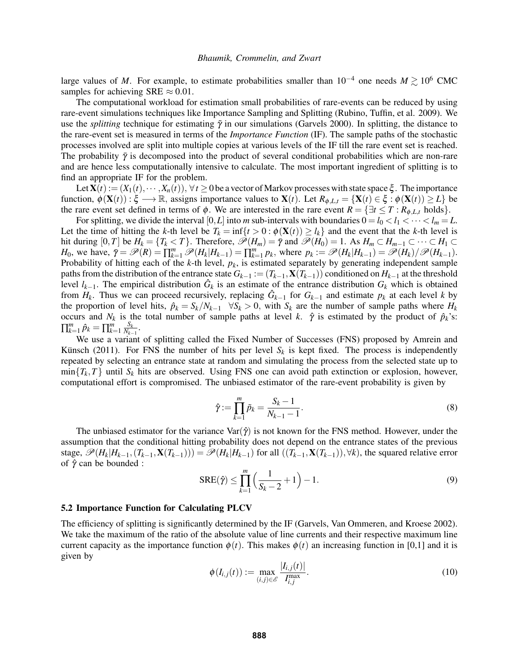large values of *M*. For example, to estimate probabilities smaller than  $10^{-4}$  one needs  $M \gtrsim 10^6$  CMC samples for achieving SRE  $\approx 0.01$ .

The computational workload for estimation small probabilities of rare-events can be reduced by using rare-event simulations techniques like Importance Sampling and Splitting (Rubino, Tuffin, et al. 2009). We use the *splitting* technique for estimating  $\tilde{\gamma}$  in our simulations (Garvels 2000). In splitting, the distance to the rare-event set is measured in terms of the *Importance Function* (IF). The sample paths of the stochastic processes involved are split into multiple copies at various levels of the IF till the rare event set is reached. The probability  $\bar{\gamma}$  is decomposed into the product of several conditional probabilities which are non-rare and are hence less computationally intensive to calculate. The most important ingredient of splitting is to find an appropriate IF for the problem.

Let  $\mathbf{X}(t) := (X_1(t), \dots, X_n(t)), \forall t \geq 0$  be a vector of Markov processes with state space  $\xi$ . The importance function,  $\phi(\mathbf{X}(t)) : \xi \longrightarrow \mathbb{R}$ , assigns importance values to  $\mathbf{X}(t)$ . Let  $R_{\phi, L,t} = {\mathbf{X}(t) \in \xi : \phi(\mathbf{X}(t)) \geq L}$  be the rare event set defined in terms of  $\phi$ . We are interested in the rare event  $R = \{\exists t \leq T : R_{\phi, L, t} \text{ holds}\}.$ 

For splitting, we divide the interval [0,*L*] into *m* sub-intervals with boundaries  $0 = l_0 < l_1 < \cdots < l_m = L$ . Let the time of hitting the *k*-th level be  $T_k = \inf\{t > 0 : \phi(\mathbf{X}(t)) \ge l_k\}$  and the event that the *k*-th level is hit during  $[0,T]$  be  $H_k = \{T_k < T\}$ . Therefore,  $\mathcal{P}(H_m) = \overline{\gamma}$  and  $\mathcal{P}(H_0) = 1$ . As  $H_m \subset H_{m-1} \subset \cdots \subset H_1 \subset$  $H_0$ , we have,  $\overline{\gamma} = \mathscr{P}(R) = \prod_{k=1}^m \mathscr{P}(H_k | H_{k-1}) = \prod_{k=1}^m p_k$ , where  $p_k := \mathscr{P}(H_k | H_{k-1}) = \mathscr{P}(H_k) / \mathscr{P}(H_{k-1})$ . Probability of hitting each of the *k*-th level, *pk*, is estimated separately by generating independent sample paths from the distribution of the entrance state  $G_{k-1} := (T_{k-1}, \mathbf{X}(T_{k-1}))$  conditioned on  $H_{k-1}$  at the threshold level  $l_{k-1}$ . The empirical distribution  $\hat{G}_k$  is an estimate of the entrance distribution  $G_k$  which is obtained from  $H_k$ . Thus we can proceed recursively, replacing  $\hat{G}_{k-1}$  for  $G_{k-1}$  and estimate  $p_k$  at each level k by the proportion of level hits,  $\hat{p}_k = S_k/N_{k-1}$   $\forall S_k > 0$ , with  $S_k$  are the number of sample paths where  $H_k$ occurs and  $N_k$  is the total number of sample paths at level *k*.  $\hat{\gamma}$  is estimated by the product of  $\hat{p}_k$ 's:  $\prod_{k=1}^{m} \hat{p}_k = \prod_{k=1}^{m} \frac{S_k}{N_{k-1}}$  $\frac{\Delta_k}{N_{k-1}}$ .

We use a variant of splitting called the Fixed Number of Successes (FNS) proposed by Amrein and Künsch (2011). For FNS the number of hits per level  $S_k$  is kept fixed. The process is independently repeated by selecting an entrance state at random and simulating the process from the selected state up to  $\min\{T_k, T\}$  until  $S_k$  hits are observed. Using FNS one can avoid path extinction or explosion, however, computational effort is compromised. The unbiased estimator of the rare-event probability is given by

$$
\hat{\gamma} := \prod_{k=1}^{m} \tilde{p}_k = \frac{S_k - 1}{N_{k-1} - 1}.
$$
\n(8)

The unbiased estimator for the variance  $\text{Var}(\hat{\gamma})$  is not known for the FNS method. However, under the assumption that the conditional hitting probability does not depend on the entrance states of the previous stage,  $\mathscr{P}(H_k|H_{k-1}, (T_{k-1}, \mathbf{X}(T_{k-1}))) = \mathscr{P}(H_k|H_{k-1})$  for all  $((T_{k-1}, \mathbf{X}(T_{k-1})), \forall k)$ , the squared relative error of  $\hat{\gamma}$  can be bounded :

$$
SRE(\hat{\gamma}) \le \prod_{k=1}^{m} \left( \frac{1}{S_k - 2} + 1 \right) - 1.
$$
 (9)

# 5.2 Importance Function for Calculating PLCV

The efficiency of splitting is significantly determined by the IF (Garvels, Van Ommeren, and Kroese 2002). We take the maximum of the ratio of the absolute value of line currents and their respective maximum line current capacity as the importance function  $\phi(t)$ . This makes  $\phi(t)$  an increasing function in [0,1] and it is given by

$$
\phi(I_{i,j}(t)) := \max_{(i,j) \in \mathscr{E}} \frac{|I_{i,j}(t)|}{I_{i,j}^{\max}}.
$$
\n(10)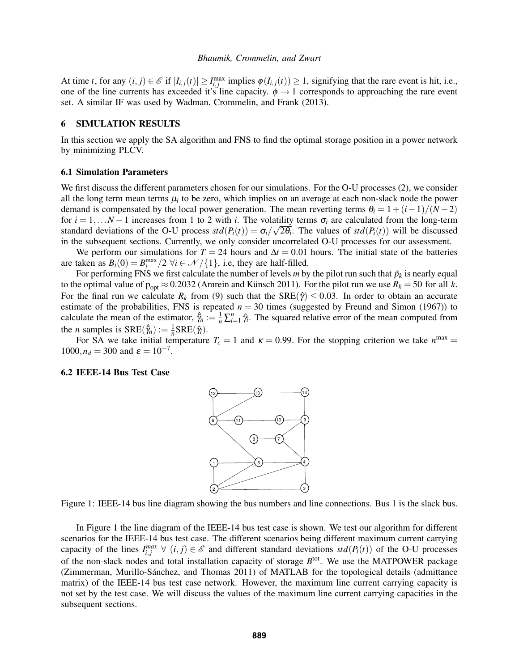At time *t*, for any  $(i, j) \in \mathcal{E}$  if  $|I_{i,j}(t)| \geq I_{i,j}^{\max}$  implies  $\phi(I_{i,j}(t)) \geq 1$ , signifying that the rare event is hit, i.e., one of the line currents has exceeded it's line capacity.  $\phi \rightarrow 1$  corresponds to approaching the rare event set. A similar IF was used by Wadman, Crommelin, and Frank (2013).

# 6 SIMULATION RESULTS

In this section we apply the SA algorithm and FNS to find the optimal storage position in a power network by minimizing PLCV.

### 6.1 Simulation Parameters

We first discuss the different parameters chosen for our simulations. For the O-U processes (2), we consider all the long term mean terms  $\mu_i$  to be zero, which implies on an average at each non-slack node the power demand is compensated by the local power generation. The mean reverting terms  $\theta_i = 1 + (i-1)/(N-2)$ for  $i = 1,...N-1$  increases from 1 to 2 with *i*. The volatility terms  $\sigma_i$  are calculated from the long-term standard deviations of the O-U process  $std(P_i(t)) = \sigma_i/\sqrt{2\theta_i}$ . The values of  $std(P_i(t))$  will be discussed in the subsequent sections. Currently, we only consider uncorrelated O-U processes for our assessment.

We perform our simulations for  $T = 24$  hours and  $\Delta t = 0.01$  hours. The initial state of the batteries are taken as  $B_i(0) = B_i^{\max}/2 \,\forall i \in \mathcal{N}/\{1\}$ , i.e, they are half-filled.

For performing FNS we first calculate the number of levels  $m$  by the pilot run such that  $\tilde{p}_k$  is nearly equal to the optimal value of  $p_{opt} \approx 0.2032$  (Amrein and Künsch 2011). For the pilot run we use  $R_k = 50$  for all *k*. For the final run we calculate  $R_k$  from (9) such that the  $SRE(\hat{\gamma}) \le 0.03$ . In order to obtain an accurate estimate of the probabilities, FNS is repeated  $n = 30$  times (suggested by Freund and Simon (1967)) to calculate the mean of the estimator,  $\hat{\gamma}_n := \frac{1}{n} \sum_{i=1}^n \hat{\gamma}_i$ . The squared relative error of the mean computed from the *n* samples is  $SRE(\hat{\gamma}_n) := \frac{1}{n} SRE(\hat{\gamma}_i)$ .

For SA we take initial temperature  $T_c = 1$  and  $\kappa = 0.99$ . For the stopping criterion we take  $n^{\text{max}} =$  $1000, n_d = 300$  and  $\varepsilon = 10^{-7}$ .

### 6.2 IEEE-14 Bus Test Case



Figure 1: IEEE-14 bus line diagram showing the bus numbers and line connections. Bus 1 is the slack bus.

In Figure 1 the line diagram of the IEEE-14 bus test case is shown. We test our algorithm for different scenarios for the IEEE-14 bus test case. The different scenarios being different maximum current carrying capacity of the lines  $I_{i,j}^{max} \ \forall \ (i,j) \in \mathcal{E}$  and different standard deviations  $std(P_i(t))$  of the O-U processes of the non-slack nodes and total installation capacity of storage B<sup>tot</sup>. We use the MATPOWER package (Zimmerman, Murillo-Sánchez, and Thomas 2011) of MATLAB for the topological details (admittance matrix) of the IEEE-14 bus test case network. However, the maximum line current carrying capacity is not set by the test case. We will discuss the values of the maximum line current carrying capacities in the subsequent sections.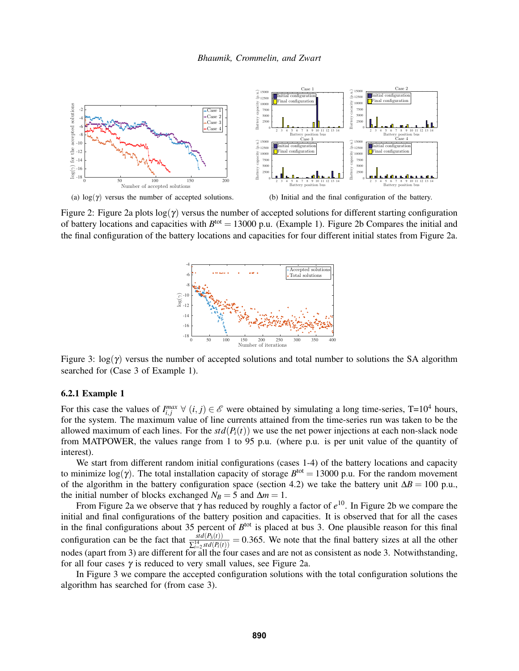

(a)  $log(\gamma)$  versus the number of accepted solutions.

(b) Initial and the final configuration of the battery.

Figure 2: Figure 2a plots  $log(\gamma)$  versus the number of accepted solutions for different starting configuration of battery locations and capacities with  $B<sup>tot</sup> = 13000$  p.u. (Example 1). Figure 2b Compares the initial and the final configuration of the battery locations and capacities for four different initial states from Figure 2a.



Figure 3: log(γ) versus the number of accepted solutions and total number to solutions the SA algorithm searched for (Case 3 of Example 1).

### 6.2.1 Example 1

For this case the values of  $I_{i,j}^{max} \forall (i,j) \in \mathscr{E}$  were obtained by simulating a long time-series, T=10<sup>4</sup> hours, for the system. The maximum value of line currents attained from the time-series run was taken to be the allowed maximum of each lines. For the  $std(P_i(t))$  we use the net power injections at each non-slack node from MATPOWER, the values range from 1 to 95 p.u. (where p.u. is per unit value of the quantity of interest).

We start from different random initial configurations (cases 1-4) of the battery locations and capacity to minimize  $log(\gamma)$ . The total installation capacity of storage  $B<sup>tot</sup> = 13000$  p.u. For the random movement of the algorithm in the battery configuration space (section 4.2) we take the battery unit  $\Delta B = 100$  p.u., the initial number of blocks exchanged  $N_B = 5$  and  $\Delta m = 1$ .

From Figure 2a we observe that γ has reduced by roughly a factor of *e* <sup>10</sup>. In Figure 2b we compare the initial and final configurations of the battery position and capacities. It is observed that for all the cases in the final configurations about 35 percent of  $B<sup>tot</sup>$  is placed at bus 3. One plausible reason for this final configuration can be the fact that  $\frac{std(P_3(t))}{\sum_{i=2}^{14} std(P_i(t))} = 0.365$ . We note that the final battery sizes at all the other nodes (apart from 3) are different for all the four cases and are not as consistent as node 3. Notwithstanding, for all four cases  $\gamma$  is reduced to very small values, see Figure 2a.

In Figure 3 we compare the accepted configuration solutions with the total configuration solutions the algorithm has searched for (from case 3).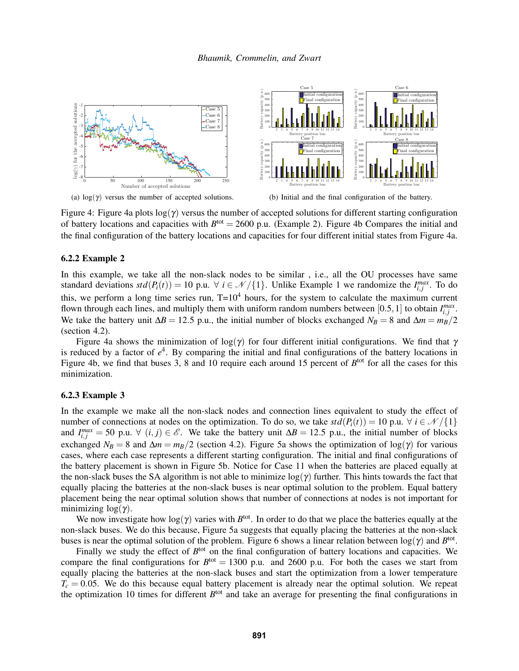

Figure 4: Figure 4a plots  $log(\gamma)$  versus the number of accepted solutions for different starting configuration of battery locations and capacities with  $B<sup>tot</sup> = 2600$  p.u. (Example 2). Figure 4b Compares the initial and the final configuration of the battery locations and capacities for four different initial states from Figure 4a.

## 6.2.2 Example 2

In this example, we take all the non-slack nodes to be similar , i.e., all the OU processes have same standard deviations  $std(P_i(t)) = 10$  p.u.  $\forall i \in \mathcal{N}/\{1\}$ . Unlike Example 1 we randomize the  $I_{i,j}^{max}$ . To do this, we perform a long time series run,  $T=10^4$  hours, for the system to calculate the maximum current flown through each lines, and multiply them with uniform random numbers between [0.5, 1] to obtain  $I_{i,j}^{max}$ . We take the battery unit  $\Delta B = 12.5$  p.u., the initial number of blocks exchanged  $N_B = 8$  and  $\Delta m = m_B/2$ (section 4.2).

Figure 4a shows the minimization of  $log(\gamma)$  for four different initial configurations. We find that  $\gamma$ is reduced by a factor of  $e^4$ . By comparing the initial and final configurations of the battery locations in Figure 4b, we find that buses 3, 8 and 10 require each around 15 percent of  $B<sup>tot</sup>$  for all the cases for this minimization.

# 6.2.3 Example 3

In the example we make all the non-slack nodes and connection lines equivalent to study the effect of number of connections at nodes on the optimization. To do so, we take  $std(P_i(t)) = 10$  p.u.  $\forall i \in \mathcal{N}/\{1\}$ and  $I_{i,j}^{max} = 50$  p.u.  $\forall$   $(i, j) \in \mathcal{E}$ . We take the battery unit  $\Delta B = 12.5$  p.u., the initial number of blocks exchanged  $N_B = 8$  and  $\Delta m = m_B/2$  (section 4.2). Figure 5a shows the optimization of log( $\gamma$ ) for various cases, where each case represents a different starting configuration. The initial and final configurations of the battery placement is shown in Figure 5b. Notice for Case 11 when the batteries are placed equally at the non-slack buses the SA algorithm is not able to minimize  $log(\gamma)$  further. This hints towards the fact that equally placing the batteries at the non-slack buses is near optimal solution to the problem. Equal battery placement being the near optimal solution shows that number of connections at nodes is not important for minimizing  $log(y)$ .

We now investigate how  $log(\gamma)$  varies with  $B<sup>tot</sup>$ . In order to do that we place the batteries equally at the non-slack buses. We do this because, Figure 5a suggests that equally placing the batteries at the non-slack buses is near the optimal solution of the problem. Figure 6 shows a linear relation between  $log(\gamma)$  and  $B<sup>tot</sup>$ .

Finally we study the effect of  $B<sup>tot</sup>$  on the final configuration of battery locations and capacities. We compare the final configurations for  $B<sup>tot</sup> = 1300$  p.u. and 2600 p.u. For both the cases we start from equally placing the batteries at the non-slack buses and start the optimization from a lower temperature  $T_c = 0.05$ . We do this because equal battery placement is already near the optimal solution. We repeat the optimization 10 times for different B<sup>tot</sup> and take an average for presenting the final configurations in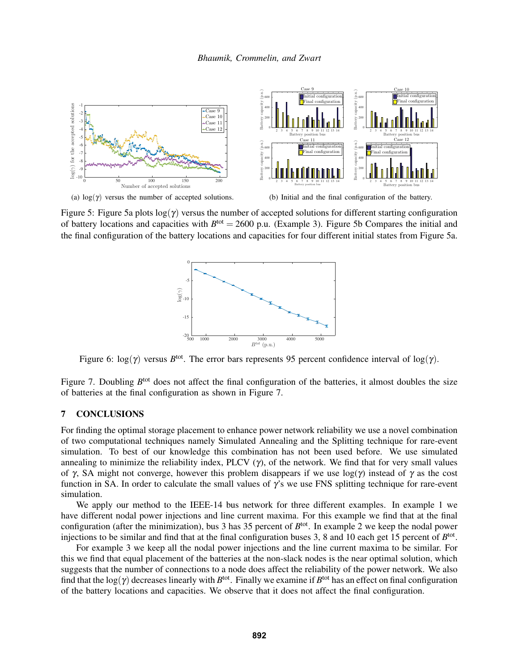

(a)  $log(\gamma)$  versus the number of accepted solutions.

(b) Initial and the final configuration of the battery.

Figure 5: Figure 5a plots  $log(\gamma)$  versus the number of accepted solutions for different starting configuration of battery locations and capacities with  $B<sup>tot</sup> = 2600$  p.u. (Example 3). Figure 5b Compares the initial and the final configuration of the battery locations and capacities for four different initial states from Figure 5a.



Figure 6:  $log(\gamma)$  versus  $B<sup>tot</sup>$ . The error bars represents 95 percent confidence interval of  $log(\gamma)$ .

Figure 7. Doubling B<sup>tot</sup> does not affect the final configuration of the batteries, it almost doubles the size of batteries at the final configuration as shown in Figure 7.

# 7 CONCLUSIONS

For finding the optimal storage placement to enhance power network reliability we use a novel combination of two computational techniques namely Simulated Annealing and the Splitting technique for rare-event simulation. To best of our knowledge this combination has not been used before. We use simulated annealing to minimize the reliability index, PLCV  $(\gamma)$ , of the network. We find that for very small values of γ, SA might not converge, however this problem disappears if we use  $log(\gamma)$  instead of γ as the cost function in SA. In order to calculate the small values of  $\gamma$ 's we use FNS splitting technique for rare-event simulation.

We apply our method to the IEEE-14 bus network for three different examples. In example 1 we have different nodal power injections and line current maxima. For this example we find that at the final configuration (after the minimization), bus 3 has 35 percent of  $B<sup>tot</sup>$ . In example 2 we keep the nodal power injections to be similar and find that at the final configuration buses 3, 8 and 10 each get 15 percent of  $B<sup>tot</sup>$ .

For example 3 we keep all the nodal power injections and the line current maxima to be similar. For this we find that equal placement of the batteries at the non-slack nodes is the near optimal solution, which suggests that the number of connections to a node does affect the reliability of the power network. We also find that the  $log(\gamma)$  decreases linearly with  $B^{tot}$ . Finally we examine if  $B^{tot}$  has an effect on final configuration of the battery locations and capacities. We observe that it does not affect the final configuration.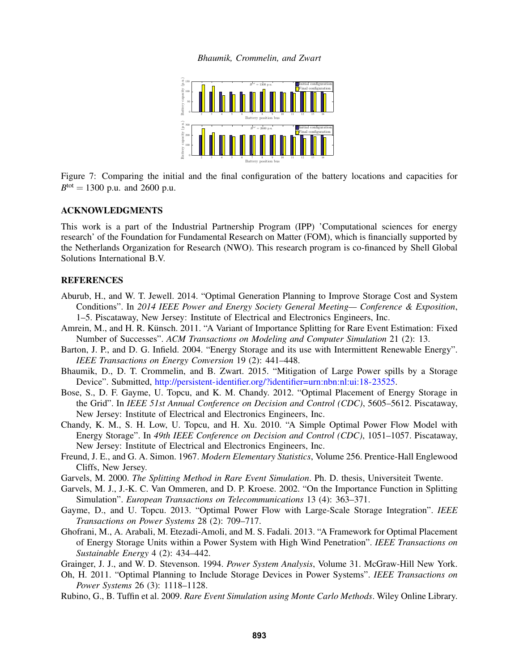

Figure 7: Comparing the initial and the final configuration of the battery locations and capacities for  $B<sup>tot</sup> = 1300$  p.u. and 2600 p.u.

### ACKNOWLEDGMENTS

This work is a part of the Industrial Partnership Program (IPP) 'Computational sciences for energy research' of the Foundation for Fundamental Research on Matter (FOM), which is financially supported by the Netherlands Organization for Research (NWO). This research program is co-financed by Shell Global Solutions International B.V.

# **REFERENCES**

- Aburub, H., and W. T. Jewell. 2014. "Optimal Generation Planning to Improve Storage Cost and System Conditions". In *2014 IEEE Power and Energy Society General Meeting— Conference & Exposition*, 1–5. Piscataway, New Jersey: Institute of Electrical and Electronics Engineers, Inc.
- Amrein, M., and H. R. Künsch. 2011. "A Variant of Importance Splitting for Rare Event Estimation: Fixed Number of Successes". *ACM Transactions on Modeling and Computer Simulation* 21 (2): 13.
- Barton, J. P., and D. G. Infield. 2004. "Energy Storage and its use with Intermittent Renewable Energy". *IEEE Transactions on Energy Conversion* 19 (2): 441–448.
- Bhaumik, D., D. T. Crommelin, and B. Zwart. 2015. "Mitigation of Large Power spills by a Storage Device". Submitted, http://persistent-identifier.org/?identifier=urn:nbn:nl:ui:18-23525.
- Bose, S., D. F. Gayme, U. Topcu, and K. M. Chandy. 2012. "Optimal Placement of Energy Storage in the Grid". In *IEEE 51st Annual Conference on Decision and Control (CDC)*, 5605–5612. Piscataway, New Jersey: Institute of Electrical and Electronics Engineers, Inc.
- Chandy, K. M., S. H. Low, U. Topcu, and H. Xu. 2010. "A Simple Optimal Power Flow Model with Energy Storage". In *49th IEEE Conference on Decision and Control (CDC)*, 1051–1057. Piscataway, New Jersey: Institute of Electrical and Electronics Engineers, Inc.
- Freund, J. E., and G. A. Simon. 1967. *Modern Elementary Statistics*, Volume 256. Prentice-Hall Englewood Cliffs, New Jersey.
- Garvels, M. 2000. *The Splitting Method in Rare Event Simulation*. Ph. D. thesis, Universiteit Twente.
- Garvels, M. J., J.-K. C. Van Ommeren, and D. P. Kroese. 2002. "On the Importance Function in Splitting Simulation". *European Transactions on Telecommunications* 13 (4): 363–371.
- Gayme, D., and U. Topcu. 2013. "Optimal Power Flow with Large-Scale Storage Integration". *IEEE Transactions on Power Systems* 28 (2): 709–717.
- Ghofrani, M., A. Arabali, M. Etezadi-Amoli, and M. S. Fadali. 2013. "A Framework for Optimal Placement of Energy Storage Units within a Power System with High Wind Penetration". *IEEE Transactions on Sustainable Energy* 4 (2): 434–442.
- Grainger, J. J., and W. D. Stevenson. 1994. *Power System Analysis*, Volume 31. McGraw-Hill New York.
- Oh, H. 2011. "Optimal Planning to Include Storage Devices in Power Systems". *IEEE Transactions on Power Systems* 26 (3): 1118–1128.
- Rubino, G., B. Tuffin et al. 2009. *Rare Event Simulation using Monte Carlo Methods*. Wiley Online Library.